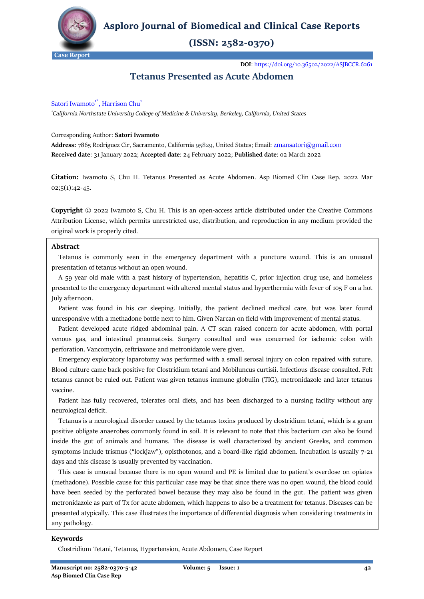

**Asploro Journal of Biomedical and Clinical Case Reports** 

# $(ISSN: 2582-0370)$

**DOI**[: https://doi.org/10.36502/2022/ASJBCCR.6261](https://doi.org/10.36502/2022/ASJBCCR.6261)

# **Tetanus Presented as Acute Abdomen**

# Satori Iwamoto<sup>1\*</sup>, Harrison Chu<sup>1</sup>

1 *[California Northstate University College of Medicine & University,](https://medicine.cnsu.edu/) Berkeley, California, United States*

#### Corresponding Author: **Satori Iwamoto**

**Address:** 7865 Rodriguez Cir, Sacramento, California 95829, United States; Email: **Received date**: 31 January 2022; **Accepted date**: 24 February 2022; **Published date**: 02 March 2022

**Citation:** Iwamoto S, Chu H. Tetanus Presented as Acute Abdomen. Asp Biomed Clin Case Rep. 2022 Mar 02;5(1):42-45.

**Copyright** © 2022 Iwamoto S, Chu H. This is an open-access article distributed under the Creative Commons Attribution License, which permits unrestricted use, distribution, and reproduction in any medium provided the original work is properly cited.

#### **Abstract**

 Tetanus is commonly seen in the emergency department with a puncture wound. This is an unusual presentation of tetanus without an open wound.

 A 59 year old male with a past history of hypertension, hepatitis C, prior injection drug use, and homeless presented to the emergency department with altered mental status and hyperthermia with fever of 105 F on a hot July afternoon.

 Patient was found in his car sleeping. Initially, the patient declined medical care, but was later found unresponsive with a methadone bottle next to him. Given Narcan on field with improvement of mental status.

 Patient developed acute ridged abdominal pain. A CT scan raised concern for acute abdomen, with portal venous gas, and intestinal pneumatosis. Surgery consulted and was concerned for ischemic colon with perforation. Vancomycin, ceftriaxone and metronidazole were given.

 Emergency exploratory laparotomy was performed with a small serosal injury on colon repaired with suture. Blood culture came back positive for Clostridium tetani and Mobiluncus curtisii. Infectious disease consulted. Felt tetanus cannot be ruled out. Patient was given tetanus immune globulin (TIG), metronidazole and later tetanus vaccine.

 Patient has fully recovered, tolerates oral diets, and has been discharged to a nursing facility without any neurological deficit.

 Tetanus is a neurological disorder caused by the tetanus toxins produced by clostridium tetani, which is a gram positive obligate anaerobes commonly found in soil. It is relevant to note that this bacterium can also be found inside the gut of animals and humans. The disease is well characterized by ancient Greeks, and common symptoms include trismus ("lockjaw"), opisthotonos, and a board-like rigid abdomen. Incubation is usually 7-21 days and this disease is usually prevented by vaccination.

 This case is unusual because there is no open wound and PE is limited due to patient's overdose on opiates (methadone). Possible cause for this particular case may be that since there was no open wound, the blood could have been seeded by the perforated bowel because they may also be found in the gut. The patient was given metronidazole as part of Tx for acute abdomen, which happens to also be a treatment for tetanus. Diseases can be presented atypically. This case illustrates the importance of differential diagnosis when considering treatments in any pathology.

#### **Keywords**

Clostridium Tetani, Tetanus, Hypertension, Acute Abdomen, Case Report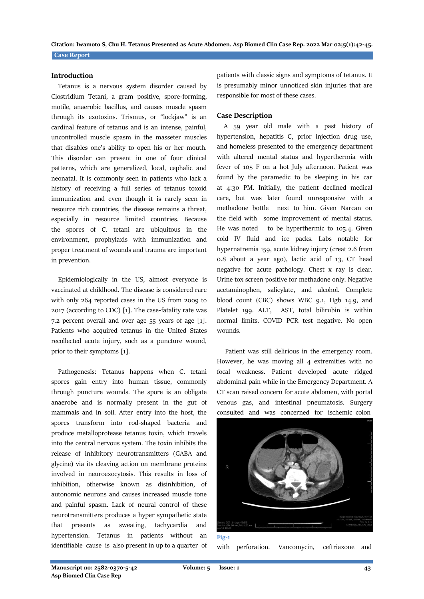**Case Report Citation: Iwamoto S, Chu H. Tetanus Presented as Acute Abdomen. Asp Biomed Clin Case Rep. 2022 Mar 02;5(1):42-45.**

#### **Introduction**

 Tetanus is a nervous system disorder caused by Clostridium Tetani, a gram positive, spore-forming, motile, anaerobic bacillus, and causes muscle spasm through its exotoxins. Trismus, or "lockjaw" is an cardinal feature of tetanus and is an intense, painful, uncontrolled muscle spasm in the masseter muscles that disables one's ability to open his or her mouth. This disorder can present in one of four clinical patterns, which are generalized, local, cephalic and neonatal. It is commonly seen in patients who lack a history of receiving a full series of tetanus toxoid immunization and even though it is rarely seen in resource rich countries, the disease remains a threat, especially in resource limited countries. Because the spores of C. tetani are ubiquitous in the environment, prophylaxis with immunization and proper treatment of wounds and trauma are important in prevention.

 Epidemiologically in the US, almost everyone is vaccinated at childhood. The disease is considered rare with only 264 reported cases in the US from 2009 to 2017 (according to CDC) [1]. The case-fatality rate was 7.2 percent overall and over age 55 years of age [1]. Patients who acquired tetanus in the United States recollected acute injury, such as a puncture wound, prior to their symptoms [1].

 Pathogenesis: Tetanus happens when C. tetani spores gain entry into human tissue, commonly through puncture wounds. The spore is an obligate anaerobe and is normally present in the gut of mammals and in soil. After entry into the host, the spores transform into rod-shaped bacteria and produce metalloprotease tetanus toxin, which travels into the central nervous system. The toxin inhibits the release of inhibitory neurotransmitters (GABA and glycine) via its cleaving action on membrane proteins involved in neuroexocytosis. This results in loss of inhibition, otherwise known as disinhibition, of autonomic neurons and causes increased muscle tone and painful spasm. Lack of neural control of these neurotransmitters produces a hyper sympathetic state that presents as sweating, tachycardia and hypertension. Tetanus in patients without an identifiable cause is also present in up to a quarter of

patients with classic signs and symptoms of tetanus. It is presumably minor unnoticed skin injuries that are responsible for most of these cases.

#### **Case Description**

 A 59 year old male with a past history of hypertension, hepatitis C, prior injection drug use, and homeless presented to the emergency department with altered mental status and hyperthermia with fever of 105 F on a hot July afternoon. Patient was found by the paramedic to be sleeping in his car at 4:30 PM. Initially, the patient declined medical care, but was later found unresponsive with a methadone bottle next to him. Given Narcan on the field with some improvement of mental status. He was noted to be hyperthermic to 105.4. Given cold IV fluid and ice packs. Labs notable for hypernatremia 159, acute kidney injury (creat 2.6 from 0.8 about a year ago), lactic acid of 13, CT head negative for acute pathology. Chest x ray is clear. Urine tox screen positive for methadone only. Negative acetaminophen, salicylate, and alcohol. Complete blood count (CBC) shows WBC 9.1, Hgb 14.9, and Platelet 199. ALT, AST, total bilirubin is within normal limits. COVID PCR test negative. No open wounds.

 Patient was still delirious in the emergency room. However, he was moving all 4 extremities with no focal weakness. Patient developed acute ridged abdominal pain while in the Emergency Department. A CT scan raised concern for acute abdomen, with portal venous gas, and intestinal pneumatosis. Surgery consulted and was concerned for ischemic colon



**Fig-1**

with perforation. Vancomycin, ceftriaxone and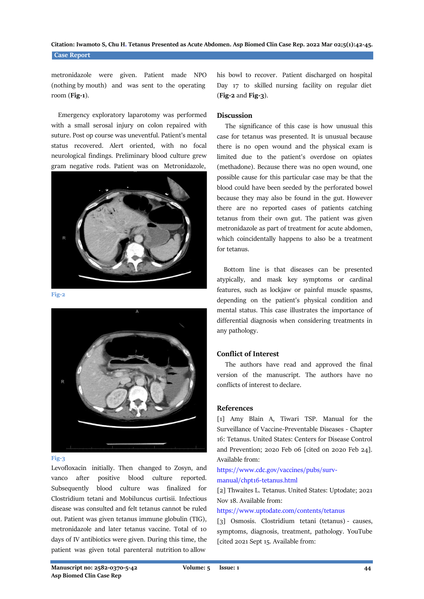metronidazole were given. Patient made NPO (nothing by mouth) and was sent to the operating room (**Fig-1**).

 Emergency exploratory laparotomy was performed with a small serosal injury on colon repaired with suture. Post op course was uneventful. Patient's mental status recovered. Alert oriented, with no focal neurological findings. Preliminary blood culture grew gram negative rods. Patient was on Metronidazole,



**Fig-2**



#### **Fig-3**

Levofloxacin initially. Then changed to Zosyn, and vanco after positive blood culture reported. Subsequently blood culture was finalized for Clostridium tetani and Mobiluncus curtisii. Infectious disease was consulted and felt tetanus cannot be ruled out. Patient was given tetanus immune globulin (TIG), metronidazole and later tetanus vaccine. Total of 10 days of IV antibiotics were given. During this time, the patient was given total parenteral nutrition to allow

his bowl to recover. Patient discharged on hospital Day 17 to skilled nursing facility on regular diet (**Fig-2** and **Fig-3**).

### **Discussion**

 The significance of this case is how unusual this case for tetanus was presented. It is unusual because there is no open wound and the physical exam is limited due to the patient's overdose on opiates (methadone). Because there was no open wound, one possible cause for this particular case may be that the blood could have been seeded by the perforated bowel because they may also be found in the gut. However there are no reported cases of patients catching tetanus from their own gut. The patient was given metronidazole as part of treatment for acute abdomen, which coincidentally happens to also be a treatment for tetanus.

 Bottom line is that diseases can be presented atypically, and mask key symptoms or cardinal features, such as lockjaw or painful muscle spasms, depending on the patient's physical condition and mental status. This case illustrates the importance of differential diagnosis when considering treatments in any pathology.

## **Conflict of Interest**

 The authors have read and approved the final version of the manuscript. The authors have no conflicts of interest to declare.

### **References**

[1] Amy Blain A, Tiwari TSP. Manual for the Surveillance of Vaccine-Preventable Diseases - Chapter 16: Tetanus. United States: Centers for Disease Control and Prevention; 2020 Feb 06 [cited on 2020 Feb 24]. Available from:

# [https://www.cdc.gov/vaccines/pubs/surv](https://www.cdc.gov/vaccines/pubs/surv-manual/chpt16-tetanus.html)[manual/chpt16-tetanus.html](https://www.cdc.gov/vaccines/pubs/surv-manual/chpt16-tetanus.html)

[2] Thwaites L. Tetanus. United States: Uptodate; 2021 Nov 18. Available from:

#### <https://www.uptodate.com/contents/tetanus>

[3] Osmosis. Clostridium tetani (tetanus) - causes, symptoms, diagnosis, treatment, pathology. YouTube [cited 2021 Sept 15. Available from: